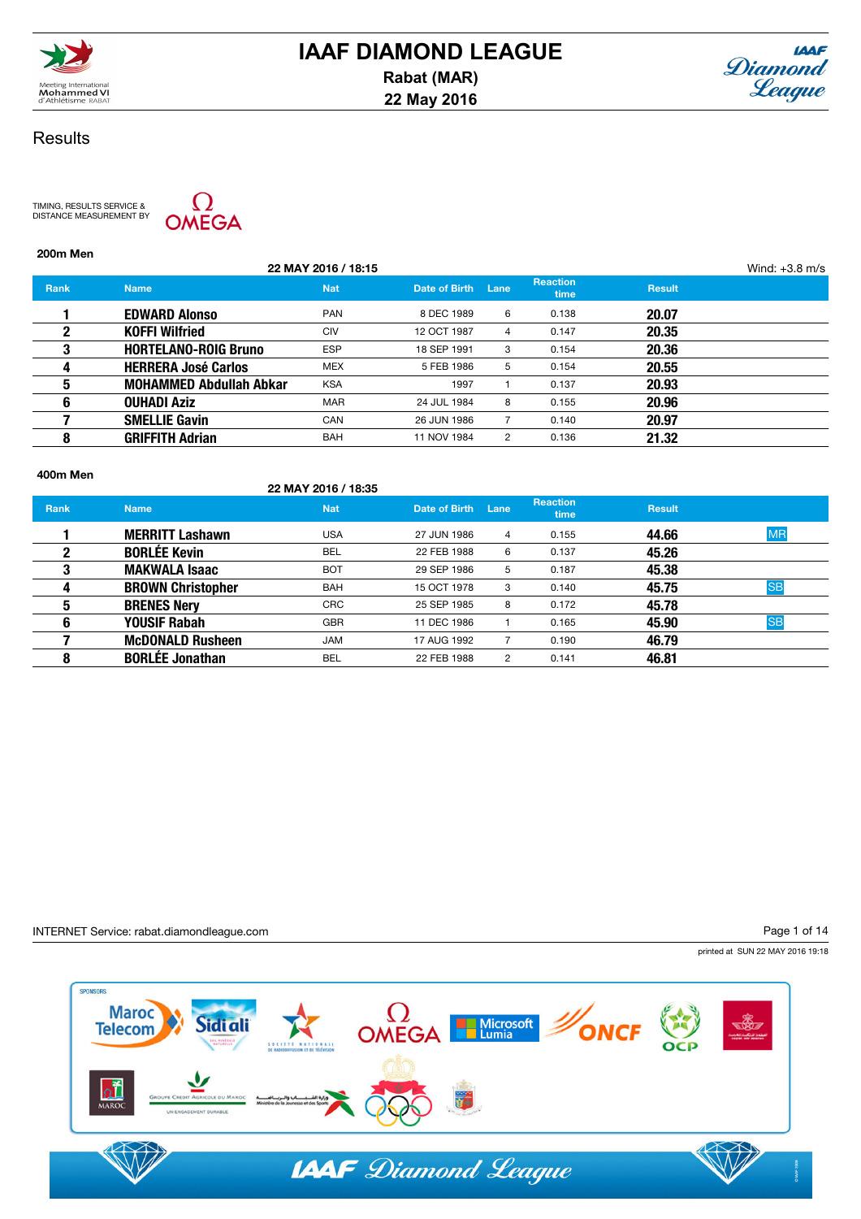



TIMING, RESULTS SERVICE & DISTANCE MEASUREMENT BY



# 200m Men

|             |                                | 22 MAY 2016 / 18:15 |                    |                |                                |               | Wind: $+3.8$ m/s |
|-------------|--------------------------------|---------------------|--------------------|----------------|--------------------------------|---------------|------------------|
| <b>Rank</b> | <b>Name</b>                    | <b>Nat</b>          | Date of Birth Lane |                | <b>Reaction</b><br><b>time</b> | <b>Result</b> |                  |
|             | <b>EDWARD Alonso</b>           | <b>PAN</b>          | 8 DEC 1989         | 6              | 0.138                          | 20.07         |                  |
| 2           | <b>KOFFI Wilfried</b>          | <b>CIV</b>          | 12 OCT 1987        | 4              | 0.147                          | 20.35         |                  |
| 3           | <b>HORTELANO-ROIG Bruno</b>    | <b>ESP</b>          | 18 SEP 1991        | 3              | 0.154                          | 20.36         |                  |
| 4           | <b>HERRERA José Carlos</b>     | <b>MEX</b>          | 5 FEB 1986         | 5              | 0.154                          | 20.55         |                  |
| 5           | <b>MOHAMMED Abdullah Abkar</b> | <b>KSA</b>          | 1997               |                | 0.137                          | 20.93         |                  |
| 6           | <b>OUHADI Aziz</b>             | <b>MAR</b>          | 24 JUL 1984        | 8              | 0.155                          | 20.96         |                  |
|             | <b>SMELLIE Gavin</b>           | <b>CAN</b>          | 26 JUN 1986        |                | 0.140                          | 20.97         |                  |
| 8           | <b>GRIFFITH Adrian</b>         | <b>BAH</b>          | 11 NOV 1984        | $\overline{2}$ | 0.136                          | 21.32         |                  |
|             |                                |                     |                    |                |                                |               |                  |

### 400m Men

### 22 MAY 2016 / 18:35

| <b>Name</b>              | <b>Nat</b> | Date of Birth | Lane           | <b>Reaction</b><br>time | <b>Result</b> |           |
|--------------------------|------------|---------------|----------------|-------------------------|---------------|-----------|
| <b>MERRITT Lashawn</b>   | <b>USA</b> | 27 JUN 1986   | 4              | 0.155                   | 44.66         | <b>MR</b> |
| <b>BORLÉE Kevin</b>      | <b>BEL</b> | 22 FEB 1988   | 6              | 0.137                   | 45.26         |           |
| <b>MAKWALA Isaac</b>     | <b>BOT</b> | 29 SEP 1986   | 5              | 0.187                   | 45.38         |           |
| <b>BROWN Christopher</b> | <b>BAH</b> | 15 OCT 1978   | 3              | 0.140                   | 45.75         | <b>SB</b> |
| <b>BRENES Nery</b>       | <b>CRC</b> | 25 SEP 1985   | 8              | 0.172                   | 45.78         |           |
| <b>YOUSIF Rabah</b>      | <b>GBR</b> | 11 DEC 1986   |                | 0.165                   | 45.90         | <b>SB</b> |
| <b>McDONALD Rusheen</b>  | <b>JAM</b> | 17 AUG 1992   |                | 0.190                   | 46.79         |           |
| <b>BORLÉE Jonathan</b>   | <b>BEL</b> | 22 FEB 1988   | $\overline{2}$ | 0.141                   | 46.81         |           |
|                          |            |               |                |                         |               |           |

### INTERNET Service: rabat.diamondleague.com

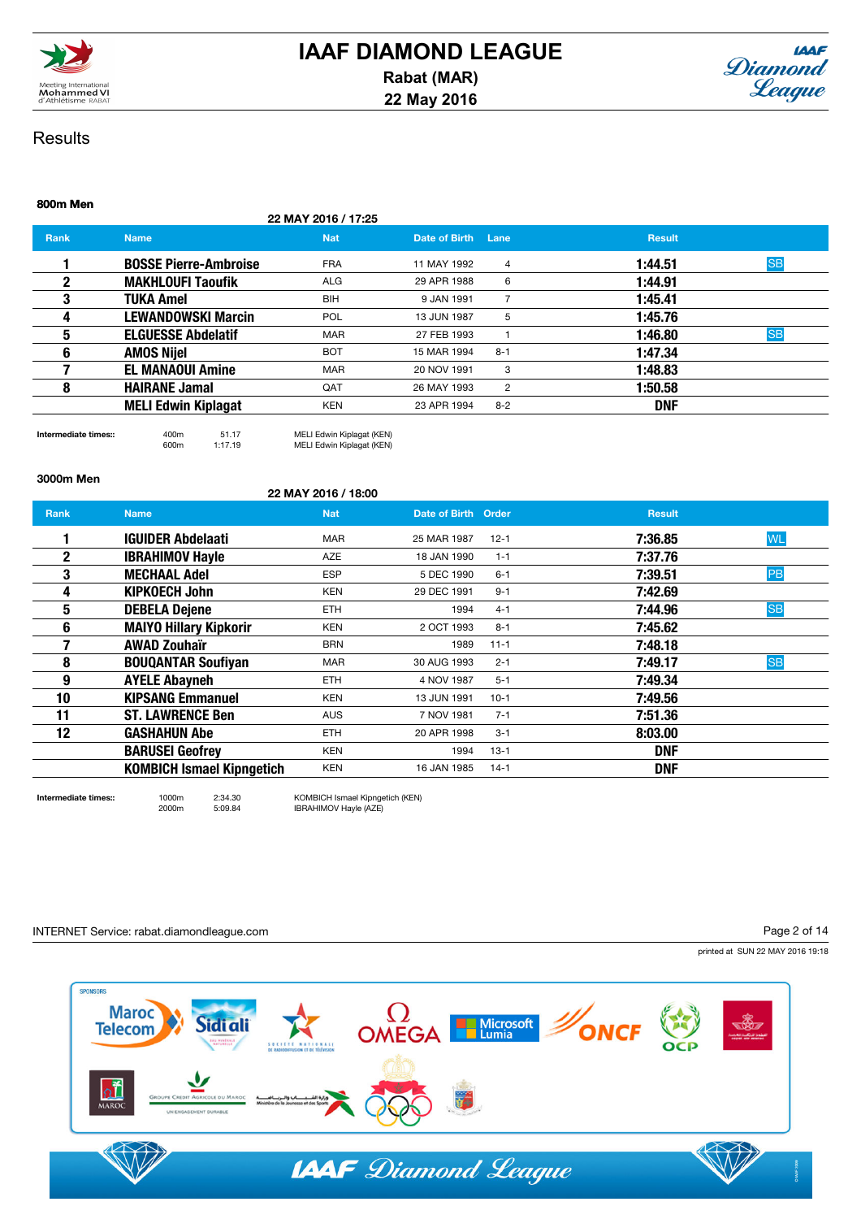



# 800m Men 22 MAY 2016 / 17:25 **Rank Name Name Nat Date of Birth Lane Result** Result 1 BOSSE Pierre-Ambroise FRA 11 MAY 1992 4 1:44.51 SB **2** MAKHLOUFI Taoufik ALG 29 APR 1988 6 1:44.91 **3** TUKA Amel BIH 9 JAN 1991 7 1:45.41 **4 LEWANDOWSKI Marcin** POL 13 JUN 1987 5 **1:45.76** 5 **ELGUESSE Abdelatif** MAR 27 FEB 1993 1 1:46.80 SB **6 AMOS Nijel BOT** 15 MAR 1994 8-1 **1:47.34 7 EL MANAOUI Amine** MAR 20 NOV 1991 3 **1:48.83 8 HAIRANE Jamal QAT** 26 MAY 1993 **2 1:50.58** MELI Edwin Kiplagat KEN 23 APR 1994 8-2 DNF

Intermediate times:: 400m 51.17 MELI Edwin Kiplagat (KEN) 600m 1:17.19 MELI Edwin Kiplagat (KEN)

22 MAY 2016 / 18:00

### 3000m Men

|              |                                  | <b>22 MAY 2010 / 18:00</b> |                     |          |               |           |
|--------------|----------------------------------|----------------------------|---------------------|----------|---------------|-----------|
| Rank         | <b>Name</b>                      | <b>Nat</b>                 | Date of Birth Order |          | <b>Result</b> |           |
|              | <b>IGUIDER Abdelaati</b>         | <b>MAR</b>                 | 25 MAR 1987         | $12 - 1$ | 7:36.85       | <b>WL</b> |
| $\mathbf{2}$ | <b>IBRAHIMOV Hayle</b>           | <b>AZE</b>                 | 18 JAN 1990         | $1 - 1$  | 7:37.76       |           |
| 3            | <b>MECHAAL Adel</b>              | <b>ESP</b>                 | 5 DEC 1990          | $6 - 1$  | 7:39.51       | PB        |
| 4            | <b>KIPKOECH John</b>             | <b>KEN</b>                 | 29 DEC 1991         | $9 - 1$  | 7:42.69       |           |
| 5            | <b>DEBELA Dejene</b>             | <b>ETH</b>                 | 1994                | $4 - 1$  | 7:44.96       | <b>SB</b> |
| 6            | <b>MAIYO Hillary Kipkorir</b>    | <b>KEN</b>                 | 2 OCT 1993          | $8 - 1$  | 7:45.62       |           |
|              | <b>AWAD Zouhaïr</b>              | <b>BRN</b>                 | 1989                | $11 - 1$ | 7:48.18       |           |
| 8            | <b>BOUQANTAR Soufiyan</b>        | <b>MAR</b>                 | 30 AUG 1993         | $2 - 1$  | 7:49.17       | <b>SB</b> |
| 9            | <b>AYELE Abayneh</b>             | <b>ETH</b>                 | 4 NOV 1987          | $5 - 1$  | 7:49.34       |           |
| 10           | <b>KIPSANG Emmanuel</b>          | <b>KEN</b>                 | 13 JUN 1991         | $10-1$   | 7:49.56       |           |
| 11           | <b>ST. LAWRENCE Ben</b>          | <b>AUS</b>                 | 7 NOV 1981          | $7 - 1$  | 7:51.36       |           |
| 12           | <b>GASHAHUN Abe</b>              | <b>ETH</b>                 | 20 APR 1998         | $3 - 1$  | 8:03.00       |           |
|              | <b>BARUSEI Geofrey</b>           | <b>KEN</b>                 | 1994                | $13-1$   | <b>DNF</b>    |           |
|              | <b>KOMBICH Ismael Kipngetich</b> | <b>KEN</b>                 | 16 JAN 1985         | $14-1$   | <b>DNF</b>    |           |

Intermediate times:: 1000m 2:34.30 KOMBICH Ismael Kipngetich (KEN)<br>2000m 5:09.84 BRAHIMOV Hayle (AZE) IBRAHIMOV Hayle (AZE)

### INTERNET Service: rabat.diamondleague.com

Page 2 of 14

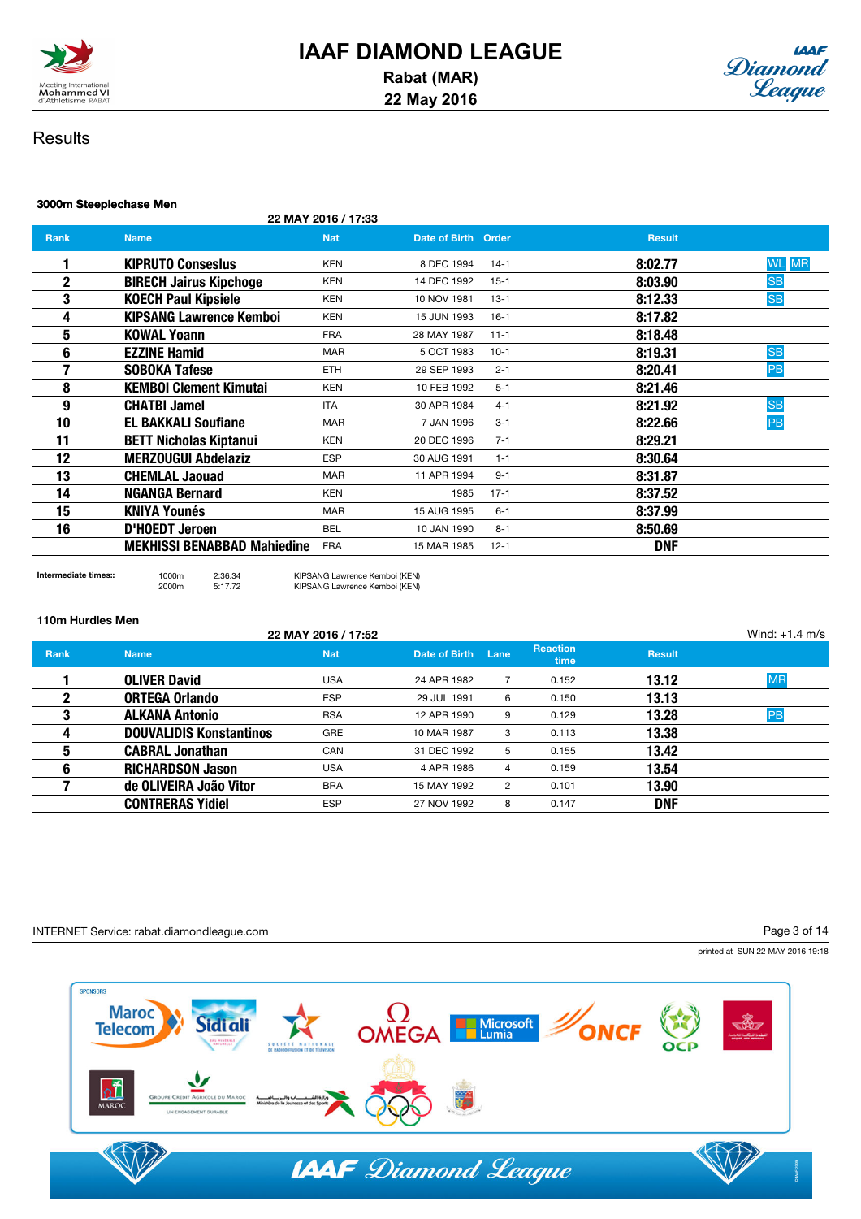



### 3000m Steeplechase Men

22 MAY 2016 / 17:33

| Rank        | <b>Name</b>                        | <b>Nat</b> | Date of Birth Order |          | <b>Result</b>           |  |
|-------------|------------------------------------|------------|---------------------|----------|-------------------------|--|
|             | <b>KIPRUTO Consesius</b>           | <b>KEN</b> | 8 DEC 1994          | $14-1$   | <b>WL</b> MR<br>8:02.77 |  |
| $\mathbf 2$ | <b>BIRECH Jairus Kipchoge</b>      | <b>KEN</b> | 14 DEC 1992         | $15 - 1$ | <b>SB</b><br>8:03.90    |  |
| 3           | <b>KOECH Paul Kipsiele</b>         | <b>KEN</b> | 10 NOV 1981         | $13 - 1$ | <b>SB</b><br>8:12.33    |  |
| 4           | <b>KIPSANG Lawrence Kemboi</b>     | <b>KEN</b> | 15 JUN 1993         | $16-1$   | 8:17.82                 |  |
| 5           | KOWAL Yoann                        | <b>FRA</b> | 28 MAY 1987         | $11 - 1$ | 8:18.48                 |  |
| 6           | <b>EZZINE Hamid</b>                | <b>MAR</b> | 5 OCT 1983          | $10-1$   | <b>SB</b><br>8:19.31    |  |
|             | SOBOKA Tafese                      | ETH        | 29 SEP 1993         | $2 - 1$  | 8:20.41<br>PB           |  |
| 8           | <b>KEMBOI Clement Kimutai</b>      | <b>KEN</b> | 10 FEB 1992         | $5 - 1$  | 8:21.46                 |  |
| 9           | <b>CHATBI Jamel</b>                | <b>ITA</b> | 30 APR 1984         | $4 - 1$  | <b>SB</b><br>8:21.92    |  |
| 10          | <b>EL BAKKALI Soufiane</b>         | <b>MAR</b> | 7 JAN 1996          | $3 - 1$  | PB<br>8:22.66           |  |
| 11          | <b>BETT Nicholas Kiptanui</b>      | <b>KEN</b> | 20 DEC 1996         | $7 - 1$  | 8:29.21                 |  |
| 12          | <b>MERZOUGUI Abdelaziz</b>         | <b>ESP</b> | 30 AUG 1991         | $1 - 1$  | 8:30.64                 |  |
| 13          | <b>CHEMLAL Jaouad</b>              | <b>MAR</b> | 11 APR 1994         | $9 - 1$  | 8:31.87                 |  |
| 14          | NGANGA Bernard                     | KEN        | 1985                | $17 - 1$ | 8:37.52                 |  |
| 15          | <b>KNIYA Younés</b>                | <b>MAR</b> | 15 AUG 1995         | $6 - 1$  | 8:37.99                 |  |
| 16          | D'HOEDT Jeroen                     | <b>BEL</b> | 10 JAN 1990         | $8 - 1$  | 8:50.69                 |  |
|             | <b>MEKHISSI BENABBAD Mahiedine</b> | <b>FRA</b> | 15 MAR 1985         | $12 - 1$ | <b>DNF</b>              |  |
|             |                                    |            |                     |          |                         |  |

### 110m Hurdles Men

|             |                                | 22 MAY 2016 / 17:52 |                    |   |                         |               | Wind: $+1.4$ m/s |
|-------------|--------------------------------|---------------------|--------------------|---|-------------------------|---------------|------------------|
| <b>Rank</b> | <b>Name</b>                    | <b>Nat</b>          | Date of Birth Lane |   | <b>Reaction</b><br>time | <b>Result</b> |                  |
|             | <b>OLIVER David</b>            | <b>USA</b>          | 24 APR 1982        |   | 0.152                   | 13.12         | <b>MR</b>        |
| 2           | <b>ORTEGA Orlando</b>          | <b>ESP</b>          | 29 JUL 1991        | 6 | 0.150                   | 13.13         |                  |
| 3           | <b>ALKANA Antonio</b>          | <b>RSA</b>          | 12 APR 1990        | 9 | 0.129                   | 13.28         | PB               |
| 4           | <b>DOUVALIDIS Konstantinos</b> | <b>GRE</b>          | 10 MAR 1987        | 3 | 0.113                   | 13.38         |                  |
| 5           | <b>CABRAL Jonathan</b>         | CAN                 | 31 DEC 1992        | 5 | 0.155                   | 13.42         |                  |
| 6           | <b>RICHARDSON Jason</b>        | <b>USA</b>          | 4 APR 1986         | 4 | 0.159                   | 13.54         |                  |
|             | de OLIVEIRA João Vitor         | <b>BRA</b>          | 15 MAY 1992        | 2 | 0.101                   | 13.90         |                  |
|             | <b>CONTRERAS Yidiel</b>        | <b>ESP</b>          | 27 NOV 1992        | 8 | 0.147                   | <b>DNF</b>    |                  |

### INTERNET Service: rabat.diamondleague.com

Intermediate times:: 1000m 2:36.34 KIPSANG Lawrence Kemboi (KEN) 2000m 5:17.72 KIPSANG Lawrence Kemboi (KEN)

Page 3 of 14

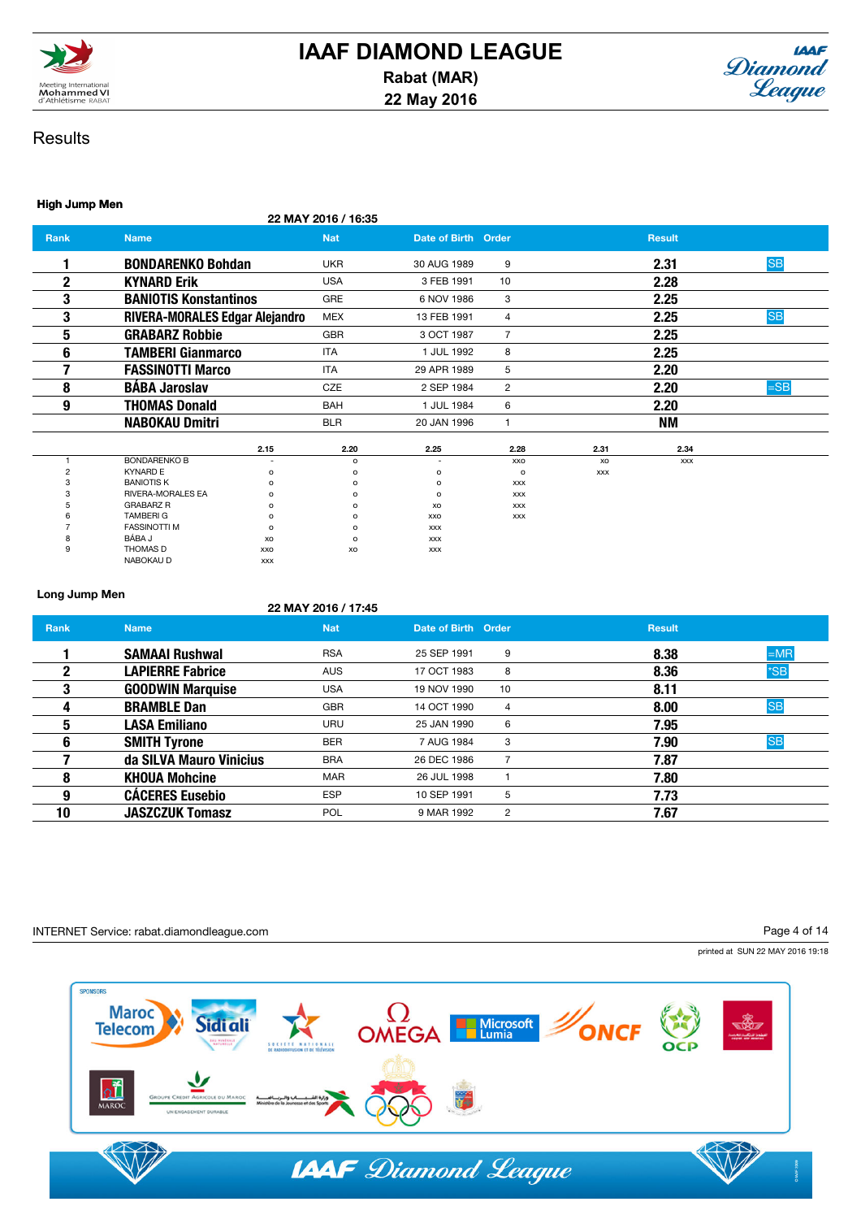



### High Jump Men

22 MAY 2016 / 16:35

| <b>Rank</b>  | <b>Name</b>                           |                | <b>Nat</b>     | Date of Birth Order      |                |            | <b>Result</b> |           |
|--------------|---------------------------------------|----------------|----------------|--------------------------|----------------|------------|---------------|-----------|
|              | <b>BONDARENKO Bohdan</b>              |                | <b>UKR</b>     | 30 AUG 1989              | 9              |            | 2.31          | <b>SB</b> |
| $\mathbf{2}$ | <b>KYNARD Erik</b>                    |                | <b>USA</b>     | 3 FEB 1991               | 10             |            | 2.28          |           |
| 3            | <b>BANIOTIS Konstantinos</b>          |                | GRE            | 6 NOV 1986               | 3              |            | 2.25          |           |
| 3            | <b>RIVERA-MORALES Edgar Alejandro</b> |                | <b>MEX</b>     | 13 FEB 1991              | 4              |            | 2.25          | <b>SB</b> |
| 5            | <b>GRABARZ Robbie</b>                 |                | <b>GBR</b>     | 3 OCT 1987               | $\overline{7}$ |            | 2.25          |           |
| 6            | <b>TAMBERI Gianmarco</b>              |                | <b>ITA</b>     | 1 JUL 1992               | 8              |            | 2.25          |           |
| ⇁            | <b>FASSINOTTI Marco</b>               |                | <b>ITA</b>     | 29 APR 1989              | 5              |            | 2.20          |           |
| 8            | <b>BÁBA Jaroslav</b>                  |                | <b>CZE</b>     | 2 SEP 1984               | $\overline{2}$ |            | 2.20          | $=$ SB    |
| 9            | <b>THOMAS Donald</b>                  |                | <b>BAH</b>     | 1 JUL 1984               | 6              |            | 2.20          |           |
|              | <b>NABOKAU Dmitri</b>                 |                | <b>BLR</b>     | 20 JAN 1996              | -1             |            | ΝM            |           |
|              |                                       | 2.15           | 2.20           | 2.25                     | 2.28           | 2.31       | 2.34          |           |
|              | <b>BONDARENKO B</b>                   | $\overline{a}$ | $\mathsf{o}\,$ | $\overline{\phantom{a}}$ | XXO            | XO         | <b>XXX</b>    |           |
|              | <b>KYNARD E</b>                       | o              | $\circ$        | $\circ$                  | $\circ$        | <b>XXX</b> |               |           |
|              | <b>BANIOTIS K</b>                     | o              | $\circ$        | $\circ$                  | <b>XXX</b>     |            |               |           |
|              | <b>RIVERA-MORALES EA</b>              | o              | $\circ$        | $\circ$                  | <b>XXX</b>     |            |               |           |
|              | <b>GRABARZ R</b>                      | $\Omega$       | $\Omega$       | XO                       | <b>XXX</b>     |            |               |           |
|              | <b>TAMBERIG</b>                       | o              | $\circ$        | XXO                      | <b>XXX</b>     |            |               |           |
|              | <b>FASSINOTTI M</b>                   | o              | $\circ$        | <b>XXX</b>               |                |            |               |           |
|              | BÁBA J                                | XO             | o              | <b>XXX</b>               |                |            |               |           |
| 9            | <b>THOMAS D</b>                       | XXO            | XO             | <b>XXX</b>               |                |            |               |           |
|              | NABOKAU D                             | <b>XXX</b>     |                |                          |                |            |               |           |

### Long Jump Men

|      |                         | 22 MAY 2016 / 17:45 |                     |                |               |           |
|------|-------------------------|---------------------|---------------------|----------------|---------------|-----------|
| Rank | <b>Name</b>             | <b>Nat</b>          | Date of Birth Order |                | <b>Result</b> |           |
|      | <b>SAMAAI Rushwal</b>   | <b>RSA</b>          | 25 SEP 1991         | 9              | 8.38          | $=MR$     |
| 2    | <b>LAPIERRE Fabrice</b> | <b>AUS</b>          | 17 OCT 1983         | 8              | 8.36          | $*SB$     |
| 3    | <b>GOODWIN Marquise</b> | <b>USA</b>          | 19 NOV 1990         | 10             | 8.11          |           |
| 4    | <b>BRAMBLE Dan</b>      | <b>GBR</b>          | 14 OCT 1990         | 4              | 8.00          | <b>SB</b> |
| 5    | <b>LASA Emiliano</b>    | <b>URU</b>          | 25 JAN 1990         | 6              | 7.95          |           |
| 6    | <b>SMITH Tyrone</b>     | <b>BER</b>          | 7 AUG 1984          | 3              | 7.90          | <b>SB</b> |
|      | da SILVA Mauro Vinicius | <b>BRA</b>          | 26 DEC 1986         |                | 7.87          |           |
| 8    | <b>KHOUA Mohcine</b>    | <b>MAR</b>          | 26 JUL 1998         |                | 7.80          |           |
| 9    | <b>CÁCERES Eusebio</b>  | <b>ESP</b>          | 10 SEP 1991         | 5              | 7.73          |           |
| 10   | <b>JASZCZUK Tomasz</b>  | <b>POL</b>          | 9 MAR 1992          | $\overline{2}$ | 7.67          |           |

### INTERNET Service: rabat.diamondleague.com

Page 4 of 14

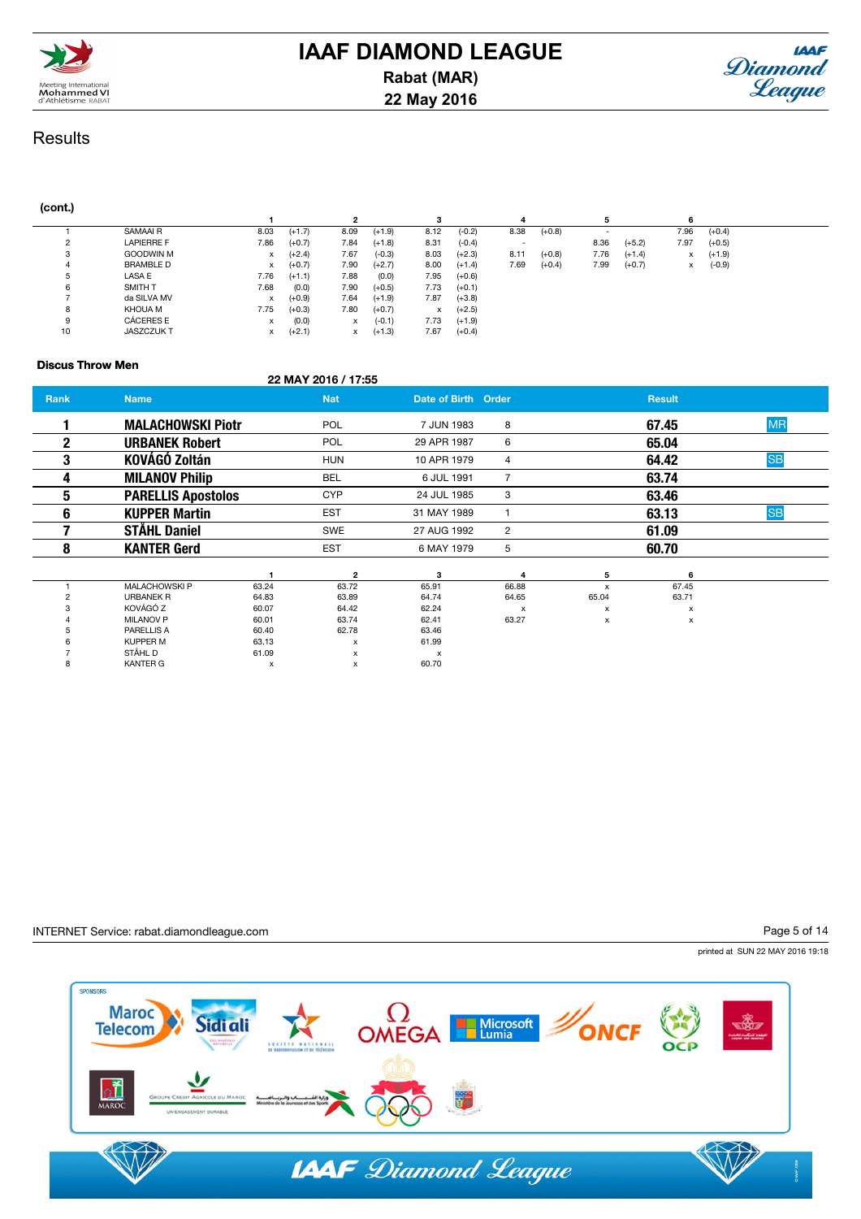

# **IAAF DIAMOND LEAGUE Rabat (MAR) 22 May 2016**



# **Results**

### (cont.)

|    |                   |      |          |      |          |      |          |      |          |      |          | ь    |          |  |
|----|-------------------|------|----------|------|----------|------|----------|------|----------|------|----------|------|----------|--|
|    | SAMAAI R          | 8.03 | $(+1.7)$ | 8.09 | $(+1.9)$ | 8.12 | $(-0.2)$ | 8.38 | $(+0.8)$ |      |          | 7.96 | $(+0.4)$ |  |
| ∼  | <b>LAPIERRE F</b> | 7.86 | $(+0.7)$ | 7.84 | $(+1.8)$ | 8.31 | $(-0.4)$ |      |          | 8.36 | $(+5.2)$ | 7.97 | $(+0.5)$ |  |
|    | <b>GOODWIN M</b>  | x    | $(+2.4)$ | 7.67 | $(-0.3)$ | 8.03 | $(+2.3)$ | 8.11 | $(+0.8)$ | 7.76 | $(+1.4)$ | x    | $(+1.9)$ |  |
|    | <b>BRAMBLE D</b>  | x    | $(+0.7)$ | 7.90 | $(+2.7)$ | 8.00 | $(+1.4)$ | 7.69 | $(+0.4)$ | 7.99 | $(+0.7)$ | x    | $(-0.9)$ |  |
|    | LASA E            | 7.76 | $(+1.1)$ | 7.88 | (0.0)    | 7.95 | $(+0.6)$ |      |          |      |          |      |          |  |
| 6  | <b>SMITH T</b>    | 7.68 | (0.0)    | 7.90 | $(+0.5)$ | 7.73 | $(+0.1)$ |      |          |      |          |      |          |  |
|    | da SILVA MV       | x    | $(+0.9)$ | 7.64 | $(+1.9)$ | 7.87 | $(+3.8)$ |      |          |      |          |      |          |  |
|    | KHOUA M           | 7.75 | $(+0.3)$ | 7.80 | $(+0.7)$ | x    | $(+2.5)$ |      |          |      |          |      |          |  |
|    | CÁCERES E         | х    | (0.0)    | x    | $(-0.1)$ | 7.73 | $(+1.9)$ |      |          |      |          |      |          |  |
| 10 | <b>JASZCZUKT</b>  | X    | $(+2.1)$ | x    | $(+1.3)$ | 7.67 | $(+0.4)$ |      |          |      |          |      |          |  |

### Discus Throw Men

### 22 MAY 2016 / 17:55

| Rank | <b>Name</b>               |       | <b>Nat</b>                | Date of Birth Order       |                           |       | <b>Result</b> |           |
|------|---------------------------|-------|---------------------------|---------------------------|---------------------------|-------|---------------|-----------|
|      | <b>MALACHOWSKI Piotr</b>  |       | <b>POL</b>                | 7 JUN 1983                | 8                         |       | 67.45         | <b>MR</b> |
| 2    | <b>URBANEK Robert</b>     |       | POL                       | 29 APR 1987               | 6                         |       | 65.04         |           |
| 3    | <b>KOVÁGÓ Zoltán</b>      |       | <b>HUN</b>                | 10 APR 1979               | 4                         |       | 64.42         | <b>SB</b> |
| 4    | <b>MILANOV Philip</b>     |       | BEL                       | 6 JUL 1991                | $\overline{7}$            |       | 63.74         |           |
| 5    | <b>PARELLIS Apostolos</b> |       | <b>CYP</b>                | 24 JUL 1985               | 3                         |       | 63.46         |           |
| 6    | <b>KUPPER Martin</b>      |       | <b>EST</b>                | 31 MAY 1989               |                           |       | 63.13         | <b>SB</b> |
|      | <b>STÅHL Daniel</b>       |       | <b>SWE</b>                | 27 AUG 1992               | $\overline{2}$            |       | 61.09         |           |
| 8    | <b>KANTER Gerd</b>        |       | <b>EST</b>                | 6 MAY 1979                | 5                         |       | 60.70         |           |
|      |                           |       | $\mathbf{2}$              | 3                         | 4                         | 5     | 6             |           |
|      | <b>MALACHOWSKI P</b>      | 63.24 | 63.72                     | 65.91                     | 66.88                     | x     | 67.45         |           |
| 2    | <b>URBANEK R</b>          | 64.83 | 63.89                     | 64.74                     | 64.65                     | 65.04 | 63.71         |           |
|      | KOVÁGÓ Z                  | 60.07 | 64.42                     | 62.24                     | $\boldsymbol{\mathsf{x}}$ | x     | x             |           |
|      | <b>MILANOV P</b>          | 60.01 | 63.74                     | 62.41                     | 63.27                     | x     | x             |           |
|      | PARELLIS A                | 60.40 | 62.78                     | 63.46                     |                           |       |               |           |
|      | <b>KUPPER M</b>           | 63.13 | $\boldsymbol{\mathsf{x}}$ | 61.99                     |                           |       |               |           |
|      | STÅHL D                   | 61.09 | x                         | $\boldsymbol{\mathsf{x}}$ |                           |       |               |           |
| 8    | <b>KANTER G</b>           | x     | x                         | 60.70                     |                           |       |               |           |

### INTERNET Service: rabat.diamondleague.com

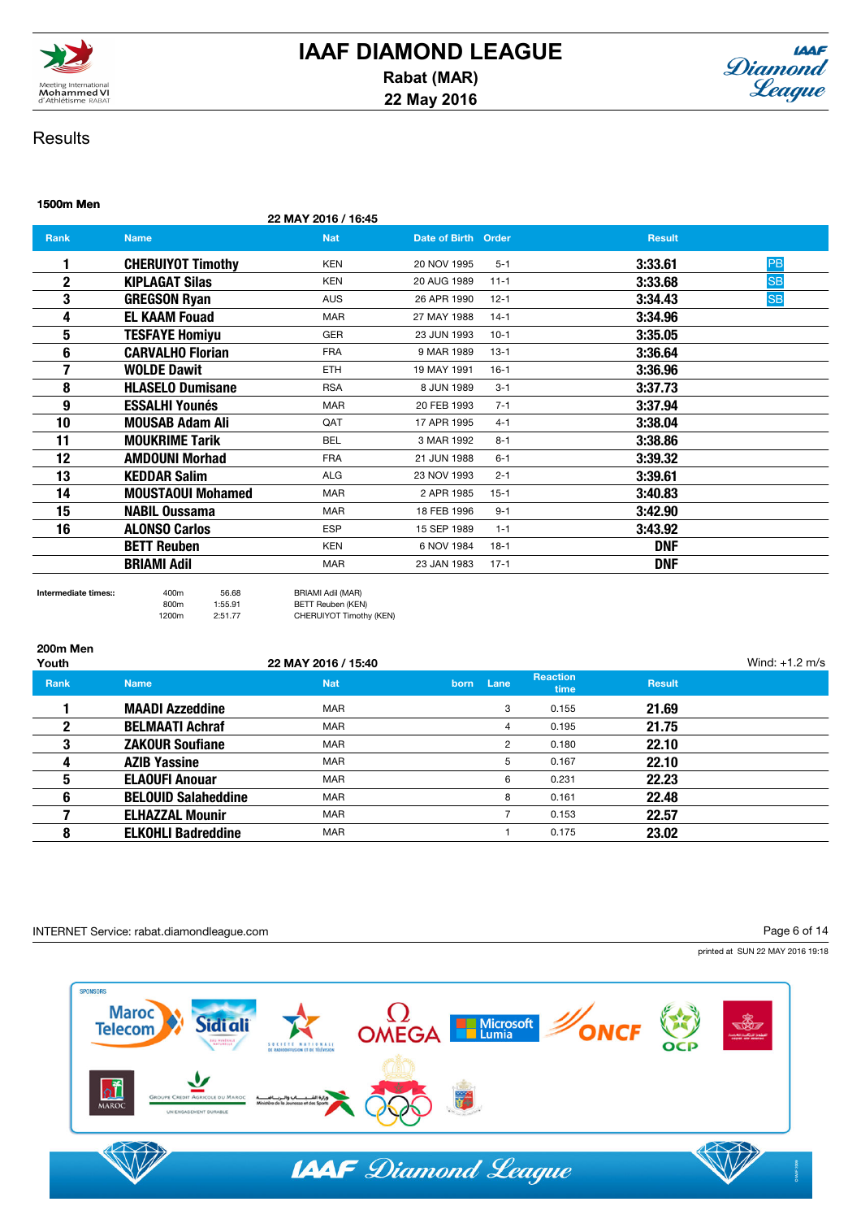

# **IAAF DIAMOND LEAGUE Rabat (MAR) 22 May 2016**



# **Results**

1500m Men

## 22 MAY 2016 / 16:45 **Rank Name Name Nat Date of Birth Order Result** Result 1 CHERUIYOT Timothy KEN 20 NOV 1995 5-1 3:33.61 PB **2** KIPLAGAT Silas KEN 20 AUG 1989 11-1 3:33.68 SB **3** GREGSON Ryan **AUS** 26 APR 1990 12-1 **3:34.43** SB **4 EL KAAM Fouad MAR** 27 MAY 1988 14-1 **3:34.96 5 TESFAYE Homiyu GER** 23 JUN 1993 10-1 **3:35.05 6 CARVALHO Florian FRA 9 MAR 1989 13-1 3:36.64 7 WOLDE Dawit ETH** 19 MAY 1991 16-1 **3:36.96** 8 **HLASELO Dumisane** RSA 8 JUN 1989 3-1 3:37.73 **9 BSSALHI Younés** MAR 20 FEB 1993 7-1 3:37.94 **10 MOUSAB Adam Ali** QAT 17 APR 1995 4-1 **3:38.04** 11 **MOUKRIME Tarik** BEL 3 MAR 1992 8-1 3:38.86 12 AMDOUNI Morhad **FRA** 21 JUN 1988 6-1 3:39.32 **13 KEDDAR Salim ALG** 23 NOV 1993 2-1 **3:39.61** 14 **MOUSTAOUI Mohamed** MAR 2 APR 1985 15-1 3:40.83 **15 MABIL Oussama** MAR 18 FEB 1996 9-1 3:42.90 16 ALONSO Carlos **ESP** 15 SEP 1989 1-1 3:43.92 **BETT Reuben MEN KEN 6 NOV 1984 18-1 DINF BRIAMI Adil 1983** MAR 23 JAN 1983 17-1 **DNF**

800m 1:55.91 BETT Reuben (KEN)

Intermediate times:: 400m 56.68 BRIAMI Adil (MAR) 1200m 2:51.77 CHERUIYOT Timothy (KEN)

### 200m Men

| Youth       |                            | 22 MAY 2016 / 15:40 |      |      |                                |               | Wind: $+1.2$ m/s |
|-------------|----------------------------|---------------------|------|------|--------------------------------|---------------|------------------|
| <b>Rank</b> | <b>Name</b>                | <b>Nat</b>          | born | Lane | <b>Reaction</b><br><b>time</b> | <b>Result</b> |                  |
|             | <b>MAADI Azzeddine</b>     | <b>MAR</b>          |      | 3    | 0.155                          | 21.69         |                  |
|             | <b>BELMAATI Achraf</b>     | <b>MAR</b>          |      | 4    | 0.195                          | 21.75         |                  |
|             | <b>ZAKOUR Soufiane</b>     | <b>MAR</b>          |      | 2    | 0.180                          | 22.10         |                  |
|             | <b>AZIB Yassine</b>        | <b>MAR</b>          |      | 5    | 0.167                          | 22.10         |                  |
| 5           | <b>ELAOUFI Anouar</b>      | <b>MAR</b>          |      | 6    | 0.231                          | 22.23         |                  |
| 6           | <b>BELOUID Salaheddine</b> | <b>MAR</b>          |      | 8    | 0.161                          | 22.48         |                  |
|             | <b>ELHAZZAL Mounir</b>     | <b>MAR</b>          |      |      | 0.153                          | 22.57         |                  |
|             | <b>ELKOHLI Badreddine</b>  | <b>MAR</b>          |      |      | 0.175                          | 23.02         |                  |
|             |                            |                     |      |      |                                |               |                  |

### INTERNET Service: rabat.diamondleague.com

Page 6 of 14

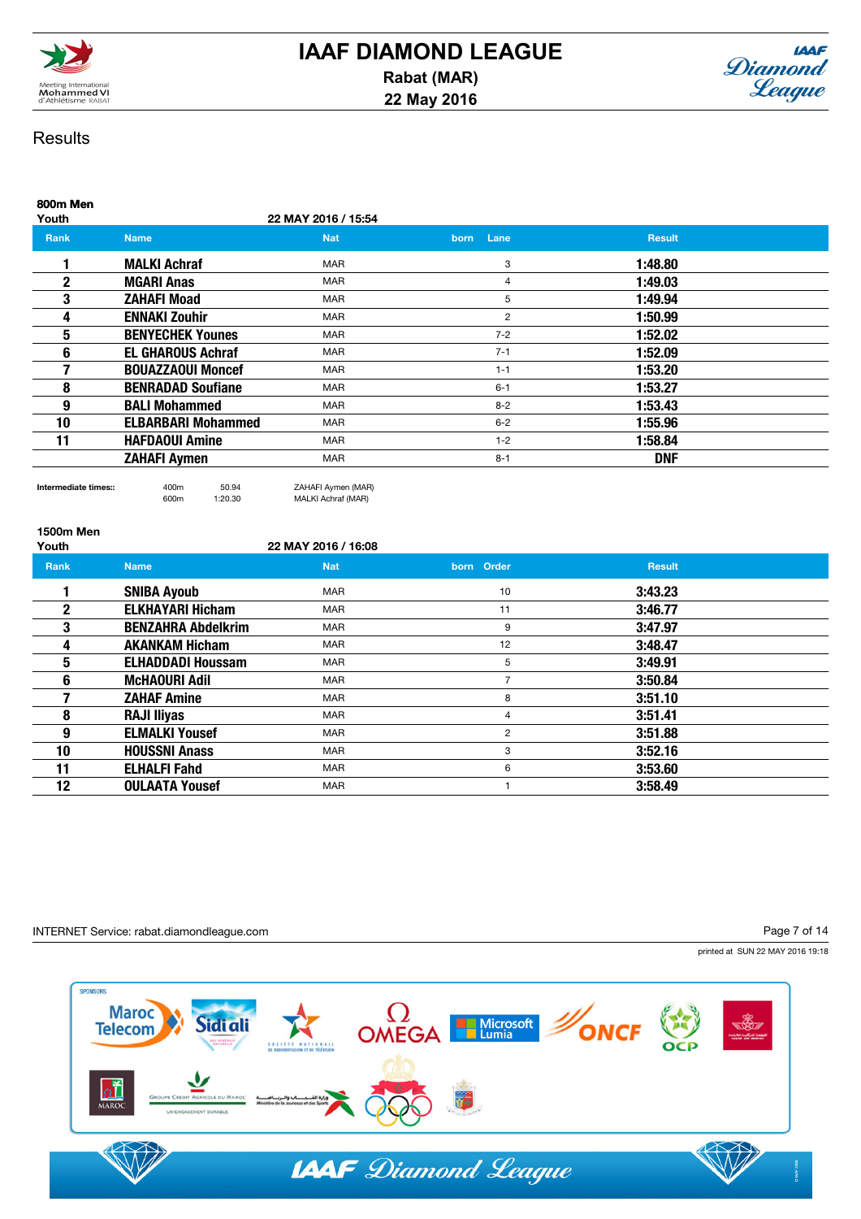



| 800m Men<br>Youth |                           | 22 MAY 2016 / 15:54 |                     |               |  |
|-------------------|---------------------------|---------------------|---------------------|---------------|--|
| <b>Rank</b>       | <b>Name</b>               | <b>Nat</b>          | Lane<br><b>born</b> | <b>Result</b> |  |
|                   | <b>MALKI Achraf</b>       | <b>MAR</b>          | 3                   | 1:48.80       |  |
| 2                 | <b>MGARI Anas</b>         | <b>MAR</b>          | 4                   | 1:49.03       |  |
| 3                 | <b>ZAHAFI Moad</b>        | <b>MAR</b>          | 5                   | 1:49.94       |  |
| 4                 | <b>ENNAKI Zouhir</b>      | <b>MAR</b>          | 2                   | 1:50.99       |  |
| 5                 | <b>BENYECHEK Younes</b>   | <b>MAR</b>          | $7 - 2$             | 1:52.02       |  |
| 6                 | <b>EL GHAROUS Achraf</b>  | <b>MAR</b>          | $7 - 1$             | 1:52.09       |  |
|                   | <b>BOUAZZAOUI Moncef</b>  | <b>MAR</b>          | $1 - 1$             | 1:53.20       |  |
| 8                 | <b>BENRADAD Soufiane</b>  | <b>MAR</b>          | $6 - 1$             | 1:53.27       |  |
| 9                 | <b>BALI Mohammed</b>      | <b>MAR</b>          | $8 - 2$             | 1:53.43       |  |
| 10                | <b>ELBARBARI Mohammed</b> | <b>MAR</b>          | $6-2$               | 1:55.96       |  |
| 11                | <b>HAFDAOUI Amine</b>     | <b>MAR</b>          | $1 - 2$             | 1:58.84       |  |
|                   | <b>ZAHAFI Aymen</b>       | <b>MAR</b>          | $8 - 1$             | <b>DNF</b>    |  |

Intermediate times:: 400m 50.94 ZAHAFI Aymen (MAR) MALKI Achraf (MAR)

1500m Men 22 MAY 2016 / 16:08 Rank Name Result in the Nat born Order Result Result in the National American population of the Nesult in the Result **1** SNIBA Ayoub MAR 10 3:43.23 **2 ELKHAYARI Hicham** MAR MAR 11 3:46.77 **3 BENZAHRA Abdelkrim** MAR 9 3:47.97 **4 AKANKAM Hicham MAR 12 3:48.47** 5 **ELHADDADI Houssam** MAR MAR 5 3:49.91 6 McHAOURI Adil MAR 7 3:50.84 **7 ZAHAF Amine MAR MAR 8 3:51.10** 8 RAJI Iliyas MAR MAR 4 3:51.41 **9 BLMALKI Yousef MAR MAR 2 3:51.88 10 HOUSSNI Anass MAR 3 3:52.16** 3 3:52.16 11 **ELHALFI Fahd** MAR 6 3:53.60 12 OULAATA Yousef MAR 1 3:58.49

### INTERNET Service: rabat.diamondleague.com

Page 7 of 14

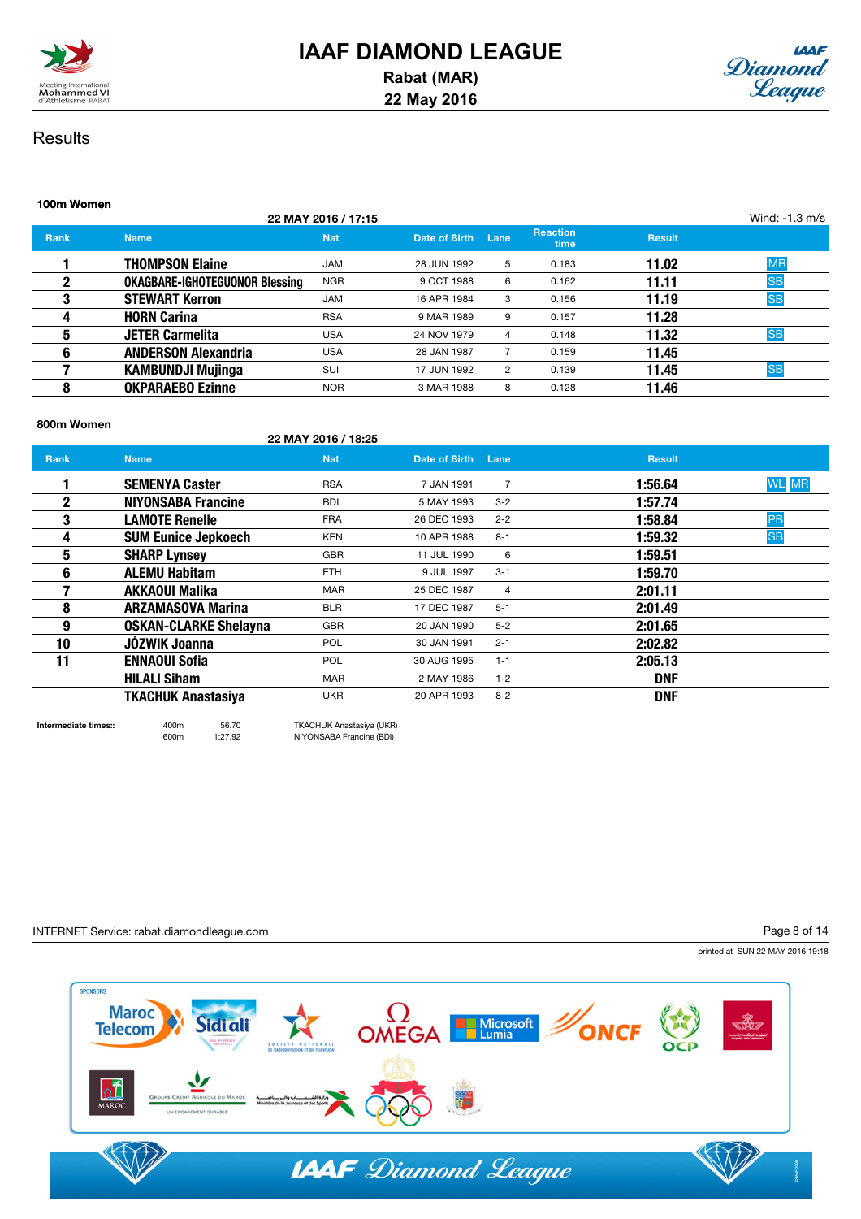



|                                       |            |                     |      |                         |               | Wind: -1.3 m/s |
|---------------------------------------|------------|---------------------|------|-------------------------|---------------|----------------|
| <b>Name</b>                           | <b>Nat</b> | Date of Birth       | Lane | <b>Reaction</b><br>time | <b>Result</b> |                |
| <b>THOMPSON Elaine</b>                | <b>JAM</b> | 28 JUN 1992         | 5    | 0.183                   | 11.02         | <b>MR</b>      |
| <b>OKAGBARE-IGHOTEGUONOR Blessing</b> | <b>NGR</b> | 9 OCT 1988          | 6    | 0.162                   | 11.11         | <b>SB</b>      |
| <b>STEWART Kerron</b>                 | <b>JAM</b> | 16 APR 1984         | 3    | 0.156                   | 11.19         | <b>SB</b>      |
| <b>HORN Carina</b>                    | <b>RSA</b> | 9 MAR 1989          | 9    | 0.157                   | 11.28         |                |
| <b>JETER Carmelita</b>                | <b>USA</b> | 24 NOV 1979         | 4    | 0.148                   | 11.32         | <b>SB</b>      |
| <b>ANDERSON Alexandria</b>            | <b>USA</b> | 28 JAN 1987         |      | 0.159                   | 11.45         |                |
| <b>KAMBUNDJI Mujinga</b>              | <b>SUI</b> | 17 JUN 1992         | 2    | 0.139                   | 11.45         | <b>SB</b>      |
| <b>OKPARAEBO Ezinne</b>               | <b>NOR</b> | 3 MAR 1988          | 8    | 0.128                   | 11.46         |                |
|                                       |            | 22 MAY 2016 / 17:15 |      |                         |               |                |

### 800m Women

22 MAY 2016 / 18:25

| <b>Rank</b>  | <b>Name</b>                  | <b>Nat</b> | Date of Birth | Lane           | <b>Result</b> |              |
|--------------|------------------------------|------------|---------------|----------------|---------------|--------------|
|              | <b>SEMENYA Caster</b>        | <b>RSA</b> | 7 JAN 1991    | $\overline{7}$ | 1:56.64       | <b>WL</b> MR |
| $\mathbf{2}$ | <b>NIYONSABA Francine</b>    | <b>BDI</b> | 5 MAY 1993    | $3 - 2$        | 1:57.74       |              |
| 3            | <b>LAMOTE Renelle</b>        | <b>FRA</b> | 26 DEC 1993   | $2 - 2$        | 1:58.84       | PB           |
| 4            | <b>SUM Eunice Jepkoech</b>   | <b>KEN</b> | 10 APR 1988   | $8 - 1$        | 1:59.32       | <b>SB</b>    |
| 5            | <b>SHARP Lynsey</b>          | <b>GBR</b> | 11 JUL 1990   | 6              | 1:59.51       |              |
| 6            | <b>ALEMU Habitam</b>         | <b>ETH</b> | 9 JUL 1997    | $3 - 1$        | 1:59.70       |              |
|              | <b>AKKAOUI Malika</b>        | <b>MAR</b> | 25 DEC 1987   | 4              | 2:01.11       |              |
| 8            | <b>ARZAMASOVA Marina</b>     | <b>BLR</b> | 17 DEC 1987   | $5 - 1$        | 2:01.49       |              |
| 9            | <b>OSKAN-CLARKE Shelayna</b> | <b>GBR</b> | 20 JAN 1990   | $5 - 2$        | 2:01.65       |              |
| 10           | JÓZWIK Joanna                | <b>POL</b> | 30 JAN 1991   | $2 - 1$        | 2:02.82       |              |
| 11           | <b>ENNAOUI Sofia</b>         | <b>POL</b> | 30 AUG 1995   | $1 - 1$        | 2:05.13       |              |
|              | <b>HILALI Siham</b>          | <b>MAR</b> | 2 MAY 1986    | $1 - 2$        | <b>DNF</b>    |              |
|              | <b>TKACHUK Anastasiva</b>    | UKR        | 20 APR 1993   | $8 - 2$        | <b>DNF</b>    |              |
|              |                              |            |               |                |               |              |

Intermediate times:: 400m 56.70 TKACHUK Anastasiya (UKR) 600m 1:27.92 NIYONSABA Francine (BDI)

INTERNET Service: rabat.diamondleague.com

Page 8 of 14

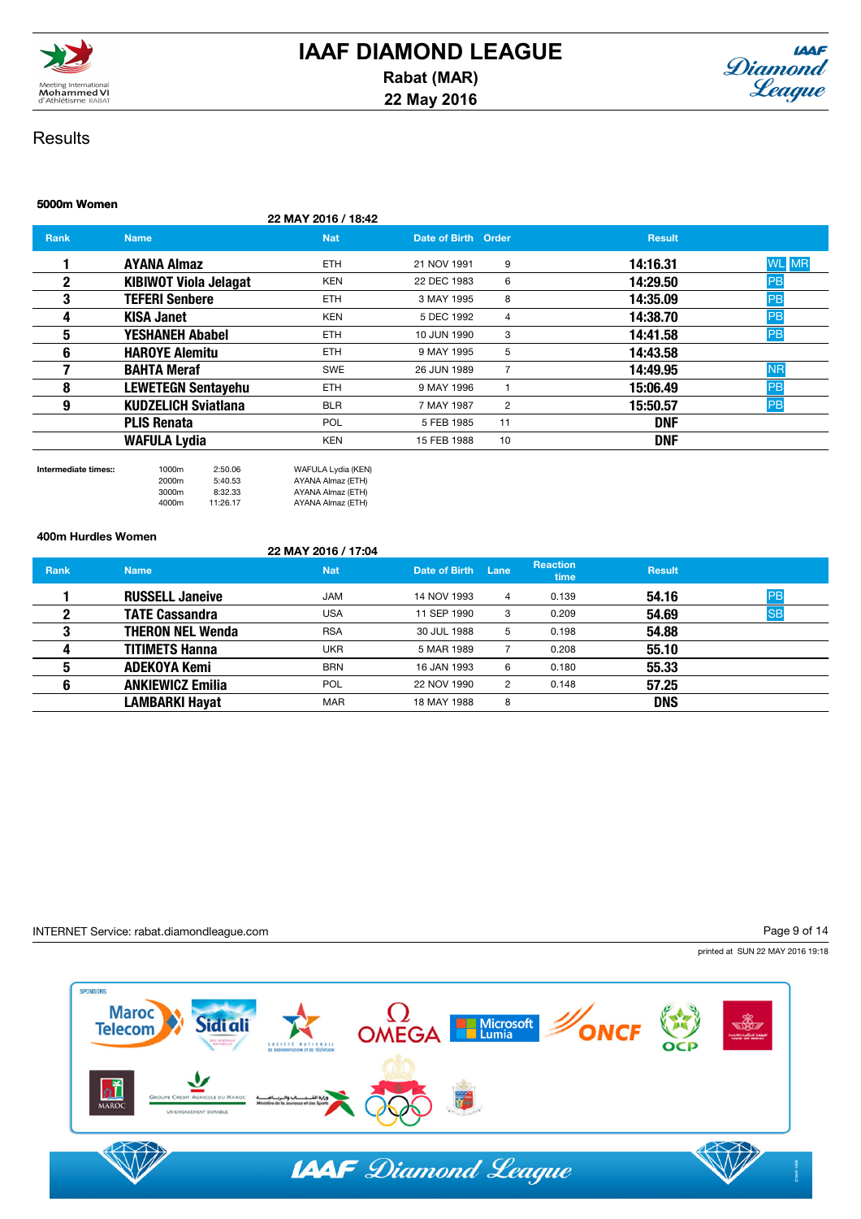



# 5000m Women 22 MAY 2016 / 18:42 **Rank Name Name Nat Date of Birth Order Result** Result 1 AYANA Almaz ETH 21 NOV 1991 9 14:16.31 WL MR **2 KIBIWOT Viola Jelagat** KEN 22 DEC 1983 6 14:29.50 PB<br>2 **TEFERI Senhere** FTH 3 MAY 1995 8 14:35.09 PB **3 TEFERI Senbere** ETH 3 MAY 1995 8 14:35.09 4 KISA Janet KEN 5 DEC 1992 4 14:38.70 PB **5 YESHANEH Ababel ETH** 10 JUN 1990 3 **14:41.58 PB 6 HAROYE Alemitu** ETH 9 MAY 1995 5 14:43.58 **7 BAHTA Meraf SWE 26 JUN 1989 7 14:49.95 NR** 8 LEWETEGN Sentayehu ETH 9 MAY 1996 1 15:06.49 PB **9 BILR** 8 BLR 7 MAY 1987 2 15:50.57 PB **PLIS Renata POL** 5 FEB 1985 11 **DNF** WAFULA Lydia **KEN** KEN 15 FEB 1988 10

2000m 5:40.53 AYANA Almaz (ETH) 3000m 8:32.33 AYANA Almaz (ETH) AYANA Almaz (ETH)

Intermediate times:: 1000m 2:50.06 WAFULA Lydia (KEN)

### 400m Hurdles Women

### 22 MAY 2016 / 17:04

| <b>Rank</b> | <b>Name</b>             | <b>Nat</b> | Date of Birth | Lane | <b>Reaction</b><br>time | <b>Result</b> |           |
|-------------|-------------------------|------------|---------------|------|-------------------------|---------------|-----------|
|             | <b>RUSSELL Janeive</b>  | <b>JAM</b> | 14 NOV 1993   | 4    | 0.139                   | 54.16         | PB        |
|             | <b>TATE Cassandra</b>   | <b>USA</b> | 11 SEP 1990   | 3    | 0.209                   | 54.69         | <b>SB</b> |
|             | <b>THERON NEL Wenda</b> | <b>RSA</b> | 30 JUL 1988   | 5    | 0.198                   | 54.88         |           |
|             | <b>TITIMETS Hanna</b>   | UKR        | 5 MAR 1989    |      | 0.208                   | 55.10         |           |
|             | <b>ADEKOYA Kemi</b>     | <b>BRN</b> | 16 JAN 1993   | 6    | 0.180                   | 55.33         |           |
| 6           | <b>ANKIEWICZ Emilia</b> | <b>POL</b> | 22 NOV 1990   | 2    | 0.148                   | 57.25         |           |
|             | <b>LAMBARKI Hayat</b>   | <b>MAR</b> | 18 MAY 1988   | 8    |                         | <b>DNS</b>    |           |

### INTERNET Service: rabat.diamondleague.com

Page 9 of 14

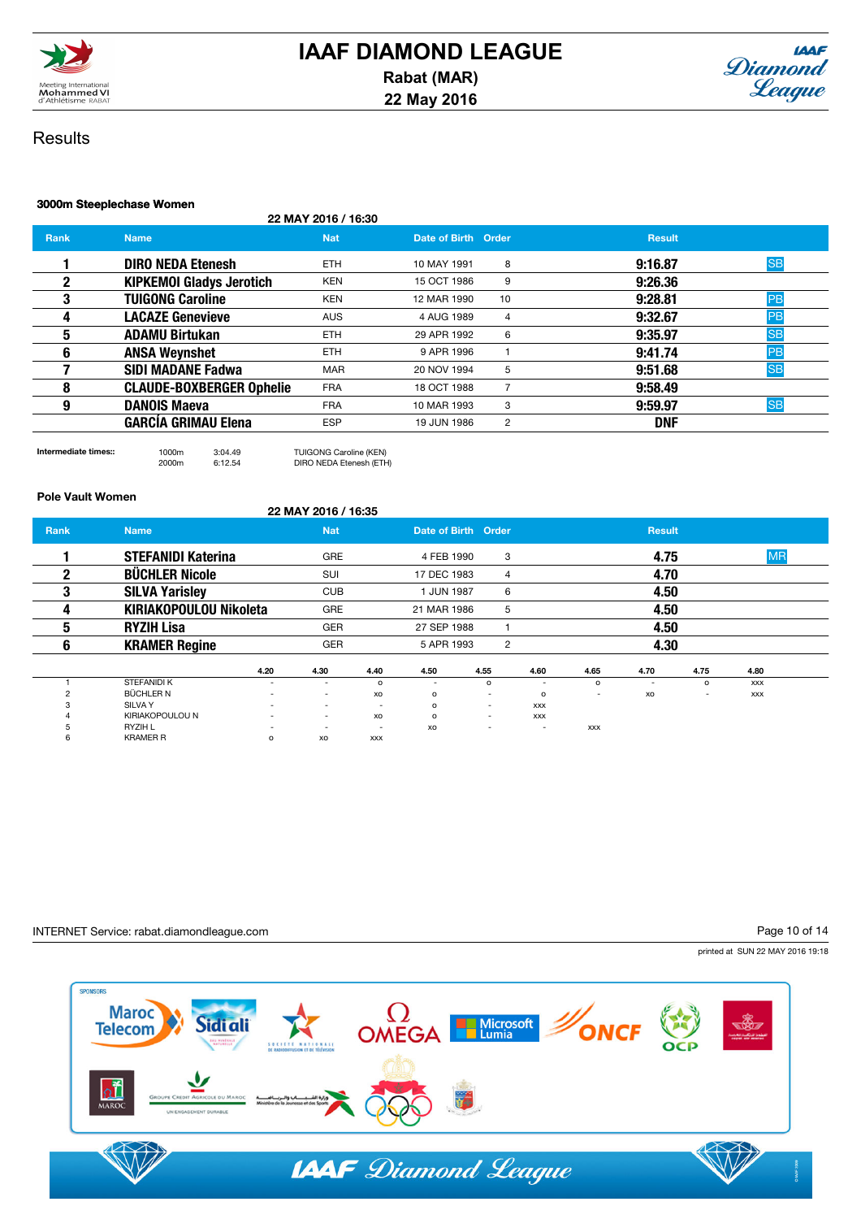



## 3000m Steeplechase Women

### 22 MAY 2016 / 16:30

| <b>Rank</b> | <b>Name</b>                     | <b>Nat</b> | Date of Birth Order |                | <b>Result</b> |           |
|-------------|---------------------------------|------------|---------------------|----------------|---------------|-----------|
|             | <b>DIRO NEDA Etenesh</b>        | ETH.       | 10 MAY 1991         | 8              | 9:16.87       | <b>SB</b> |
| 2           | <b>KIPKEMOI Gladys Jerotich</b> | <b>KEN</b> | 15 OCT 1986         | 9              | 9:26.36       |           |
| 3           | <b>TUIGONG Caroline</b>         | <b>KEN</b> | 12 MAR 1990         | 10             | 9:28.81       | PB        |
| 4           | <b>LACAZE Genevieve</b>         | <b>AUS</b> | 4 AUG 1989          | 4              | 9:32.67       | PB        |
| 5           | <b>ADAMU Birtukan</b>           | ETH.       | 29 APR 1992         | 6              | 9:35.97       | <b>SB</b> |
| 6           | <b>ANSA Weynshet</b>            | ETH.       | 9 APR 1996          |                | 9:41.74       | PB        |
|             | <b>SIDI MADANE Fadwa</b>        | <b>MAR</b> | 20 NOV 1994         | 5              | 9:51.68       | <b>SB</b> |
| 8           | <b>CLAUDE-BOXBERGER Ophelie</b> | <b>FRA</b> | 18 OCT 1988         |                | 9:58.49       |           |
| 9           | <b>DANOIS Maeva</b>             | <b>FRA</b> | 10 MAR 1993         | 3              | 9:59.97       | <b>SB</b> |
|             | <b>GARCIA GRIMAU Elena</b>      | <b>ESP</b> | 19 JUN 1986         | $\overline{2}$ | <b>DNF</b>    |           |

Intermediate times:: 1000m 3:04.49 TUIGONG Caroline (KEN) DIRO NEDA Etenesh (ETH)

### Pole Vault Women

|             |                               |                          | 22 MAY 2016 / 16:35      |                          |                          |                          |                          |                          |                          |                          |            |  |
|-------------|-------------------------------|--------------------------|--------------------------|--------------------------|--------------------------|--------------------------|--------------------------|--------------------------|--------------------------|--------------------------|------------|--|
| <b>Rank</b> | <b>Name</b>                   |                          | <b>Nat</b>               |                          | Date of Birth Order      |                          |                          |                          | <b>Result</b>            |                          |            |  |
|             | <b>STEFANIDI Katerina</b>     |                          | <b>GRE</b>               |                          | 4 FEB 1990               |                          | 3                        |                          | 4.75                     |                          | <b>MR</b>  |  |
| 2           | <b>BÜCHLER Nicole</b>         |                          | SUI                      |                          | 17 DEC 1983              |                          | 4                        |                          | 4.70                     |                          |            |  |
| 3           | <b>SILVA Yarisley</b>         |                          | <b>CUB</b>               |                          | 1 JUN 1987               |                          | 6                        |                          | 4.50                     |                          |            |  |
| 4           | <b>KIRIAKOPOULOU Nikoleta</b> |                          | <b>GRE</b>               |                          | 21 MAR 1986              |                          | 5                        |                          | 4.50                     |                          |            |  |
| 5           | <b>RYZIH Lisa</b>             |                          | <b>GER</b>               |                          | 27 SEP 1988              |                          |                          |                          | 4.50                     |                          |            |  |
| 6           | <b>KRAMER Regine</b>          |                          | <b>GER</b>               |                          | 5 APR 1993               |                          | 2                        |                          | 4.30                     |                          |            |  |
|             |                               | 4.20                     | 4.30                     | 4.40                     | 4.50                     | 4.55                     | 4.60                     | 4.65                     | 4.70                     | 4.75                     | 4.80       |  |
|             | <b>STEFANIDI K</b>            | $\overline{\phantom{a}}$ | $\overline{a}$           | $\Omega$                 | $\overline{\phantom{a}}$ | $\circ$                  | $\overline{\phantom{a}}$ | $\circ$                  | $\overline{\phantom{a}}$ | $\circ$                  | <b>XXX</b> |  |
|             | BÜCHLER N                     | $\overline{\phantom{a}}$ |                          | XO                       | $\circ$                  | $\overline{\phantom{a}}$ | $\circ$                  | $\overline{\phantom{a}}$ | XO                       | $\overline{\phantom{a}}$ | <b>XXX</b> |  |
| 3           | SILVA Y                       | -                        | $\overline{\phantom{a}}$ | $\overline{a}$           | $\Omega$                 | ۰                        | <b>XXX</b>               |                          |                          |                          |            |  |
|             | KIRIAKOPOULOU N               | $\overline{\phantom{a}}$ | $\overline{\phantom{a}}$ | XO                       | $\circ$                  | $\overline{a}$           | <b>XXX</b>               |                          |                          |                          |            |  |
| <b>D</b>    | RYZIH L                       | $\overline{\phantom{a}}$ | $\overline{\phantom{a}}$ | $\overline{\phantom{a}}$ | XO                       | $\overline{\phantom{a}}$ | ٠                        | <b>XXX</b>               |                          |                          |            |  |
| 6           | <b>KRAMER R</b>               | o                        | XO                       | <b>XXX</b>               |                          |                          |                          |                          |                          |                          |            |  |

### INTERNET Service: rabat.diamondleague.com

Page 10 of 14

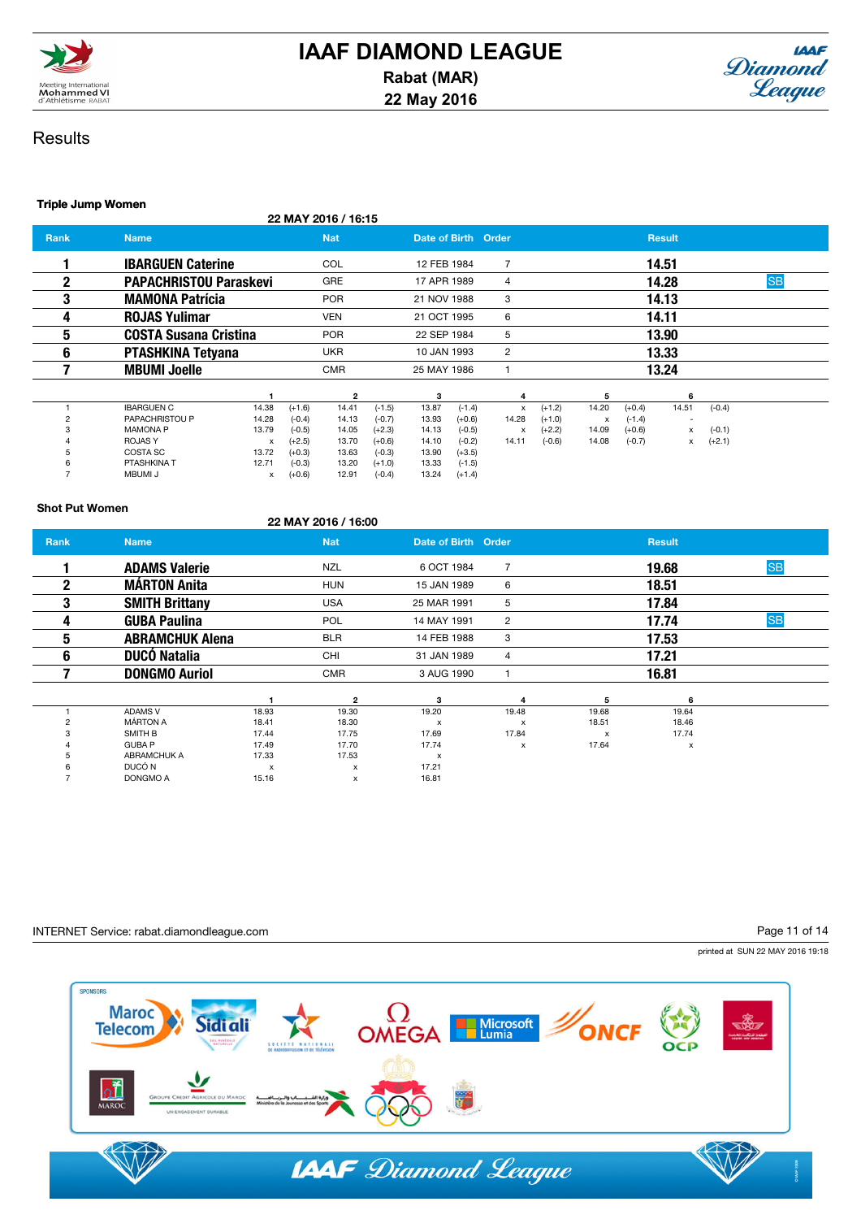



### Triple Jump Women

22 MAY 2016 / 16:15

| <b>Rank</b> | <b>Name</b>                   |       |          | <b>Nat</b>              |          | Date of Birth Order |          |                |          |       |          | <b>Result</b>            |          |           |  |
|-------------|-------------------------------|-------|----------|-------------------------|----------|---------------------|----------|----------------|----------|-------|----------|--------------------------|----------|-----------|--|
|             | <b>IBARGUEN Caterine</b>      |       |          | <b>COL</b>              |          | 12 FEB 1984         |          | $\overline{7}$ |          |       |          | 14.51                    |          |           |  |
| 2           | <b>PAPACHRISTOU Paraskevi</b> |       |          | <b>GRE</b>              |          | 17 APR 1989         |          | 4              |          |       |          | 14.28                    |          | <b>SB</b> |  |
| 3           | <b>MAMONA Patrícia</b>        |       |          | <b>POR</b>              |          | 21 NOV 1988         |          | 3              |          |       |          | 14.13                    |          |           |  |
| 4           | <b>ROJAS Yulimar</b>          |       |          | <b>VEN</b>              |          | 21 OCT 1995         |          | 6              |          |       |          | 14.11                    |          |           |  |
| 5           | <b>COSTA Susana Cristina</b>  |       |          | <b>POR</b>              |          | 22 SEP 1984         |          | 5              |          |       |          | 13.90                    |          |           |  |
| 6           | <b>PTASHKINA Tetyana</b>      |       |          | <b>UKR</b>              |          | 10 JAN 1993         |          | $\overline{2}$ |          |       |          | 13.33                    |          |           |  |
|             | <b>MBUMI Joelle</b>           |       |          | <b>CMR</b>              |          | 25 MAY 1986         |          |                |          |       |          | 13.24                    |          |           |  |
|             |                               |       |          | $\overline{\mathbf{2}}$ |          | з                   |          | 4              |          | 5     |          | 6                        |          |           |  |
|             | <b>IBARGUEN C</b>             | 14.38 | $(+1.6)$ | 14.41                   | $(-1.5)$ | 13.87               | $(-1.4)$ | x              | $(+1.2)$ | 14.20 | $(+0.4)$ | 14.51                    | $(-0.4)$ |           |  |
|             | PAPACHRISTOU P                | 14.28 | $(-0.4)$ | 14.13                   | $(-0.7)$ | 13.93               | $(+0.6)$ | 14.28          | $(+1.0)$ | x     | $(-1.4)$ | $\overline{\phantom{a}}$ |          |           |  |
|             | <b>MAMONA P</b>               | 13.79 | $(-0.5)$ | 14.05                   | $(+2.3)$ | 14.13               | $(-0.5)$ | x              | $(+2.2)$ | 14.09 | $(+0.6)$ | x                        | $(-0.1)$ |           |  |
|             | <b>ROJASY</b>                 | х     | $(+2.5)$ | 13.70                   | $(+0.6)$ | 14.10               | $(-0.2)$ | 14.11          | $(-0.6)$ | 14.08 | $(-0.7)$ | x                        | $(+2.1)$ |           |  |
|             | COSTA SC                      | 13.72 | $(+0.3)$ | 13.63                   | $(-0.3)$ | 13.90               | $(+3.5)$ |                |          |       |          |                          |          |           |  |
|             | PTASHKINA T                   | 12.71 | $(-0.3)$ | 13.20                   | $(+1.0)$ | 13.33               | $(-1.5)$ |                |          |       |          |                          |          |           |  |
|             | <b>MBUMI J</b>                | x     | $(+0.6)$ | 12.91                   | $(-0.4)$ | 13.24               | $(+1.4)$ |                |          |       |          |                          |          |           |  |

### Shot Put Women

### 22 MAY 2016 / 16:00

| <b>Rank</b>  | <b>Name</b>            |       | <b>Nat</b>     | Date of Birth Order       |                           |              | <b>Result</b> |           |
|--------------|------------------------|-------|----------------|---------------------------|---------------------------|--------------|---------------|-----------|
|              | <b>ADAMS Valerie</b>   |       | NZL            | 6 OCT 1984                | 7                         |              | 19.68         | <b>SB</b> |
| $\mathbf{2}$ | <b>MÁRTON Anita</b>    |       | <b>HUN</b>     | 15 JAN 1989               | 6                         |              | 18.51         |           |
| 3            | <b>SMITH Brittany</b>  |       | <b>USA</b>     | 25 MAR 1991               | 5                         |              | 17.84         |           |
| 4            | <b>GUBA Paulina</b>    |       | <b>POL</b>     | 14 MAY 1991               | 2                         |              | 17.74         | <b>SB</b> |
| 5            | <b>ABRAMCHUK Alena</b> |       | <b>BLR</b>     | 14 FEB 1988               | 3                         |              | 17.53         |           |
| 6            | <b>DUCÓ Natalia</b>    |       | CHI            | 31 JAN 1989               | 4                         |              | 17.21         |           |
|              | <b>DONGMO Auriol</b>   |       | <b>CMR</b>     | 3 AUG 1990                |                           |              | 16.81         |           |
|              |                        |       | $\overline{2}$ | 3                         | 4                         | 5            | 6             |           |
|              | <b>ADAMS V</b>         | 18.93 | 19.30          | 19.20                     | 19.48                     | 19.68        | 19.64         |           |
|              | <b>MÁRTON A</b>        | 18.41 | 18.30          | $\boldsymbol{\mathsf{x}}$ | $\boldsymbol{\mathsf{x}}$ | 18.51        | 18.46         |           |
| 3            | SMITH B                | 17.44 | 17.75          | 17.69                     | 17.84                     | $\mathsf{x}$ | 17.74         |           |
|              | <b>GUBA P</b>          | 17.49 | 17.70          | 17.74                     | x                         | 17.64        | x             |           |
| 5            | <b>ABRAMCHUK A</b>     | 17.33 | 17.53          | $\boldsymbol{\mathsf{x}}$ |                           |              |               |           |
|              | DUCÓ N                 | х     | x              | 17.21                     |                           |              |               |           |
|              | DONGMO A               | 15.16 | x              | 16.81                     |                           |              |               |           |

### INTERNET Service: rabat.diamondleague.com

Page 11 of 14

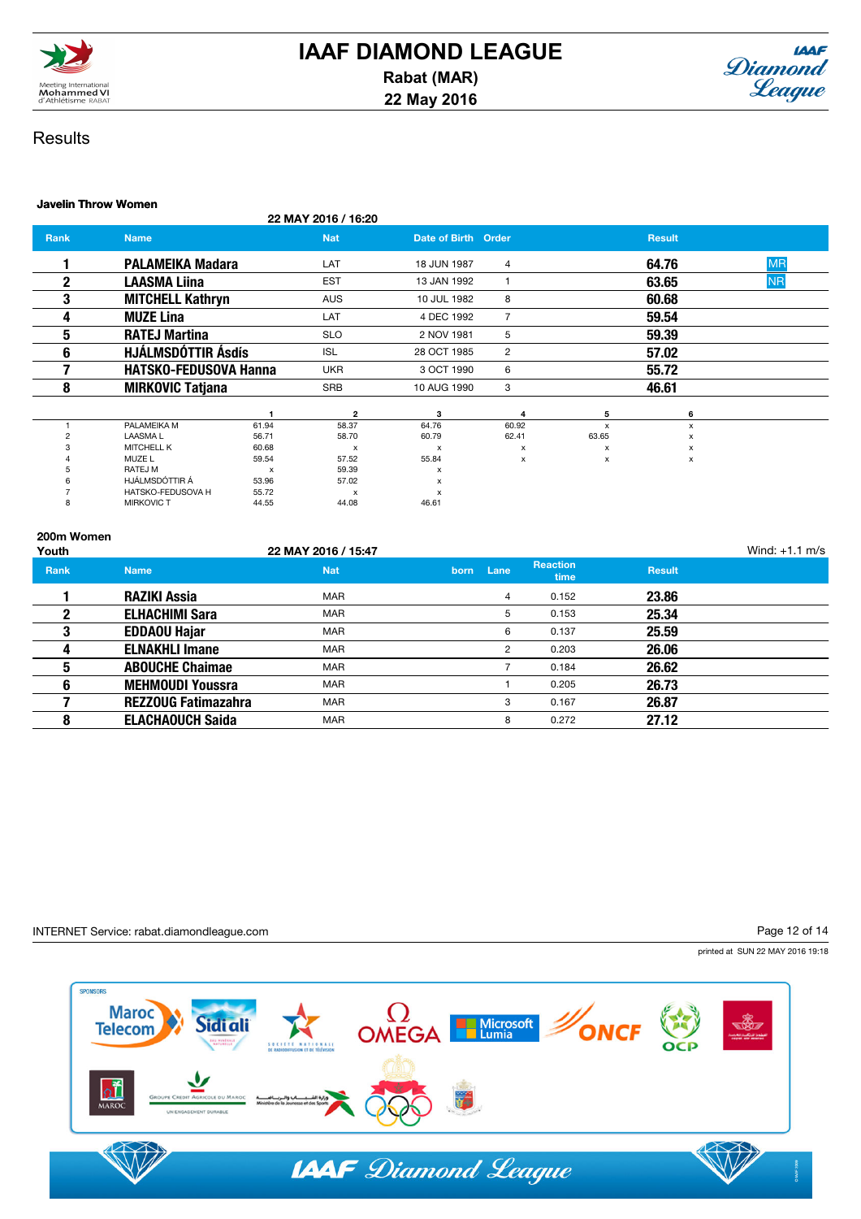



### Javelin Throw Women

22 MAY 2016 / 16:20

| Rank         | <b>Name</b>                  |                           | <b>Nat</b>                | Date of Birth Order       |                |             | <b>Result</b> |           |
|--------------|------------------------------|---------------------------|---------------------------|---------------------------|----------------|-------------|---------------|-----------|
|              | <b>PALAMEIKA Madara</b>      |                           | LAT                       | 18 JUN 1987               | 4              |             | 64.76         | <b>MR</b> |
| $\mathbf{2}$ | <b>LAASMA Liina</b>          |                           | <b>EST</b>                | 13 JAN 1992               |                |             | 63.65         | <b>NR</b> |
| 3            | <b>MITCHELL Kathryn</b>      |                           | <b>AUS</b>                | 10 JUL 1982               | 8              |             | 60.68         |           |
| 4            | <b>MUZE Lina</b>             |                           | LAT                       | 4 DEC 1992                | $\overline{7}$ |             | 59.54         |           |
| 5            | <b>RATEJ Martina</b>         |                           | <b>SLO</b>                | 2 NOV 1981                | 5              |             | 59.39         |           |
| 6            | HJÁLMSDÓTTIR Ásdís           |                           | <b>ISL</b>                | 28 OCT 1985               | $\overline{2}$ |             | 57.02         |           |
|              | <b>HATSKO-FEDUSOVA Hanna</b> |                           | <b>UKR</b>                | 3 OCT 1990                | 6              |             | 55.72         |           |
| 8            | <b>MIRKOVIC Tatjana</b>      |                           | <b>SRB</b>                | 10 AUG 1990               | 3              |             | 46.61         |           |
|              |                              |                           | $\overline{2}$            | 3                         | 4              | 5           | 6             |           |
|              | PALAMEIKA M                  | 61.94                     | 58.37                     | 64.76                     | 60.92          | $\mathbf x$ | x             |           |
| 2            | <b>LAASMAL</b>               | 56.71                     | 58.70                     | 60.79                     | 62.41          | 63.65       | x             |           |
|              | <b>MITCHELL K</b>            | 60.68                     | X                         | $\boldsymbol{\mathsf{x}}$ | x              | х           | х             |           |
|              | MUZE L                       | 59.54                     | 57.52                     | 55.84                     | x              | x           | x             |           |
|              | RATEJ M                      | $\boldsymbol{\mathsf{x}}$ | 59.39                     | x                         |                |             |               |           |
|              | HJÁLMSDÓTTIR Á               | 53.96                     | 57.02                     | x                         |                |             |               |           |
|              | HATSKO-FEDUSOVA H            | 55.72                     | $\boldsymbol{\mathsf{x}}$ | X                         |                |             |               |           |
| 8            | <b>MIRKOVIC T</b>            | 44.55                     | 44.08                     | 46.61                     |                |             |               |           |

| 200m Women<br>Youth |                            | 22 MAY 2016 / 15:47 |      |      |                         |               | Wind: $+1.1$ m/s |
|---------------------|----------------------------|---------------------|------|------|-------------------------|---------------|------------------|
| Rank                | <b>Name</b>                | <b>Nat</b>          | born | Lane | <b>Reaction</b><br>time | <b>Result</b> |                  |
|                     | <b>RAZIKI Assia</b>        | <b>MAR</b>          |      | 4    | 0.152                   | 23.86         |                  |
| 2                   | <b>ELHACHIMI Sara</b>      | <b>MAR</b>          |      | 5    | 0.153                   | 25.34         |                  |
| 3                   | <b>EDDAOU Hajar</b>        | <b>MAR</b>          |      | 6    | 0.137                   | 25.59         |                  |
| 4                   | <b>ELNAKHLI Imane</b>      | <b>MAR</b>          |      | 2    | 0.203                   | 26.06         |                  |
| 5                   | <b>ABOUCHE Chaimae</b>     | <b>MAR</b>          |      |      | 0.184                   | 26.62         |                  |
| 6                   | <b>MEHMOUDI Youssra</b>    | <b>MAR</b>          |      |      | 0.205                   | 26.73         |                  |
|                     | <b>REZZOUG Fatimazahra</b> | <b>MAR</b>          |      | 3    | 0.167                   | 26.87         |                  |
| 8                   | <b>ELACHAOUCH Saida</b>    | <b>MAR</b>          |      | 8    | 0.272                   | 27.12         |                  |

### INTERNET Service: rabat.diamondleague.com

Page 12 of 14

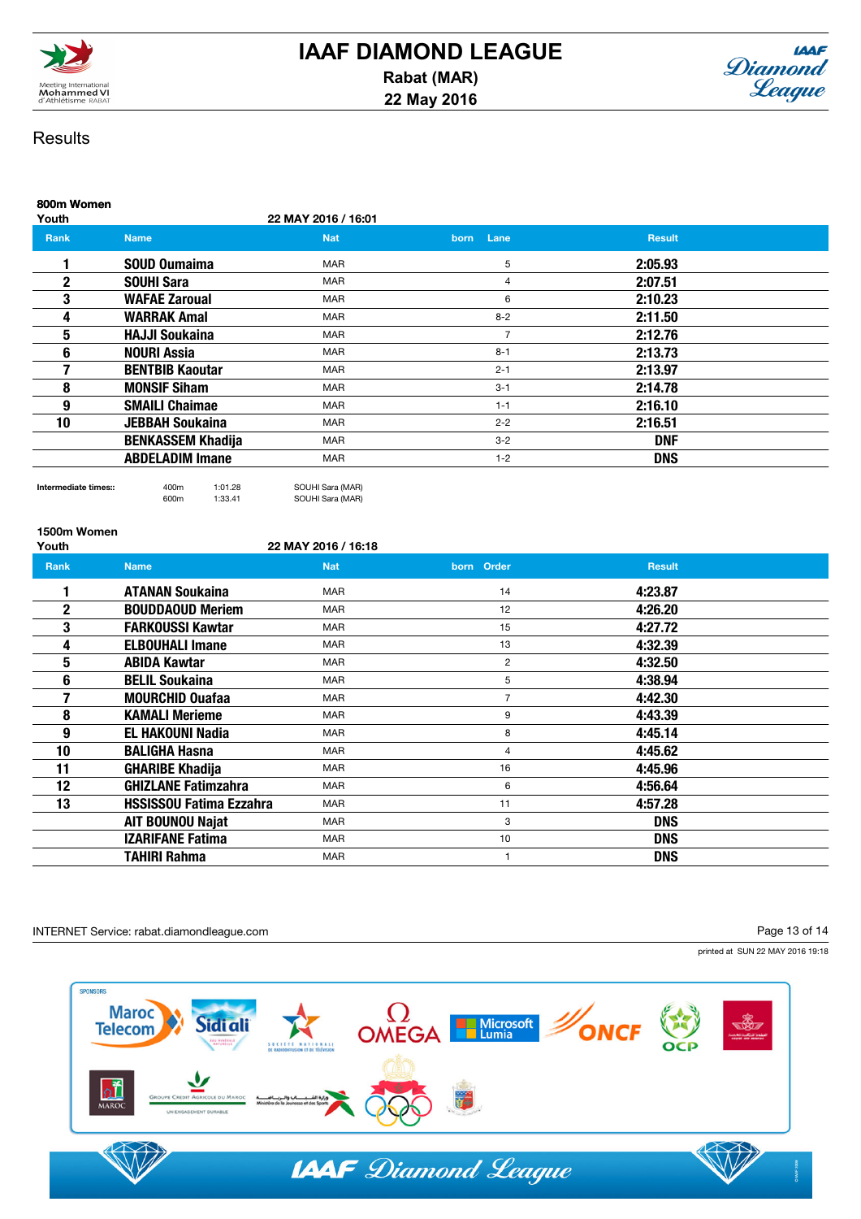



| 800m Women<br>Youth |                          | 22 MAY 2016 / 16:01 |                     |               |  |
|---------------------|--------------------------|---------------------|---------------------|---------------|--|
| Rank                | <b>Name</b>              | <b>Nat</b>          | Lane<br><b>born</b> | <b>Result</b> |  |
|                     | SOUD Oumaima             | <b>MAR</b>          | 5                   | 2:05.93       |  |
| $\mathbf{2}$        | <b>SOUHI Sara</b>        | <b>MAR</b>          | 4                   | 2:07.51       |  |
| 3                   | <b>WAFAE Zaroual</b>     | <b>MAR</b>          | 6                   | 2:10.23       |  |
| 4                   | <b>WARRAK Amal</b>       | <b>MAR</b>          | $8 - 2$             | 2:11.50       |  |
| 5                   | <b>HAJJI Soukaina</b>    | <b>MAR</b>          | $\overline{7}$      | 2:12.76       |  |
| 6                   | <b>NOURI Assia</b>       | <b>MAR</b>          | $8 - 1$             | 2:13.73       |  |
|                     | <b>BENTBIB Kaoutar</b>   | <b>MAR</b>          | $2 - 1$             | 2:13.97       |  |
| 8                   | <b>MONSIF Siham</b>      | <b>MAR</b>          | $3 - 1$             | 2:14.78       |  |
| 9                   | <b>SMAILI Chaimae</b>    | <b>MAR</b>          | $1 - 1$             | 2:16.10       |  |
| 10                  | <b>JEBBAH Soukaina</b>   | <b>MAR</b>          | $2 - 2$             | 2:16.51       |  |
|                     | <b>BENKASSEM Khadija</b> | <b>MAR</b>          | $3 - 2$             | <b>DNF</b>    |  |
|                     | <b>ABDELADIM Imane</b>   | <b>MAR</b>          | $1 - 2$             | <b>DNS</b>    |  |
|                     |                          |                     |                     |               |  |

Intermediate times:: 400m 1:01.28 SOUHI Sara (MAR)<br>600m 1:33.41 SOUHI Sara (MAR) SOUHI Sara (MAR)

1500m Women

22 MAY 2016 / 16:18

| Rank         | <b>Name</b>                    | <b>Nat</b> | born Order     | <b>Result</b> |  |
|--------------|--------------------------------|------------|----------------|---------------|--|
|              | <b>ATANAN Soukaina</b>         | <b>MAR</b> | 14             | 4:23.87       |  |
| $\mathbf{2}$ | <b>BOUDDAOUD Meriem</b>        | <b>MAR</b> | 12             | 4:26.20       |  |
| 3            | <b>FARKOUSSI Kawtar</b>        | <b>MAR</b> | 15             | 4:27.72       |  |
| 4            | <b>ELBOUHALI Imane</b>         | <b>MAR</b> | 13             | 4:32.39       |  |
| 5            | <b>ABIDA Kawtar</b>            | <b>MAR</b> | $\overline{2}$ | 4:32.50       |  |
| 6            | <b>BELIL Soukaina</b>          | <b>MAR</b> | 5              | 4:38.94       |  |
|              | <b>MOURCHID Ouafaa</b>         | <b>MAR</b> | $\overline{7}$ | 4:42.30       |  |
| 8            | <b>KAMALI Merieme</b>          | <b>MAR</b> | 9              | 4:43.39       |  |
| 9            | <b>EL HAKOUNI Nadia</b>        | <b>MAR</b> | 8              | 4:45.14       |  |
| 10           | <b>BALIGHA Hasna</b>           | <b>MAR</b> | 4              | 4:45.62       |  |
| 11           | <b>GHARIBE Khadija</b>         | <b>MAR</b> | 16             | 4:45.96       |  |
| 12           | <b>GHIZLANE Fatimzahra</b>     | <b>MAR</b> | 6              | 4:56.64       |  |
| 13           | <b>HSSISSOU Fatima Ezzahra</b> | <b>MAR</b> | 11             | 4:57.28       |  |
|              | <b>AIT BOUNOU Najat</b>        | <b>MAR</b> | 3              | <b>DNS</b>    |  |
|              | <b>IZARIFANE Fatima</b>        | <b>MAR</b> | 10             | <b>DNS</b>    |  |
|              | <b>TAHIRI Rahma</b>            | <b>MAR</b> |                | <b>DNS</b>    |  |

INTERNET Service: rabat.diamondleague.com

Page 13 of 14